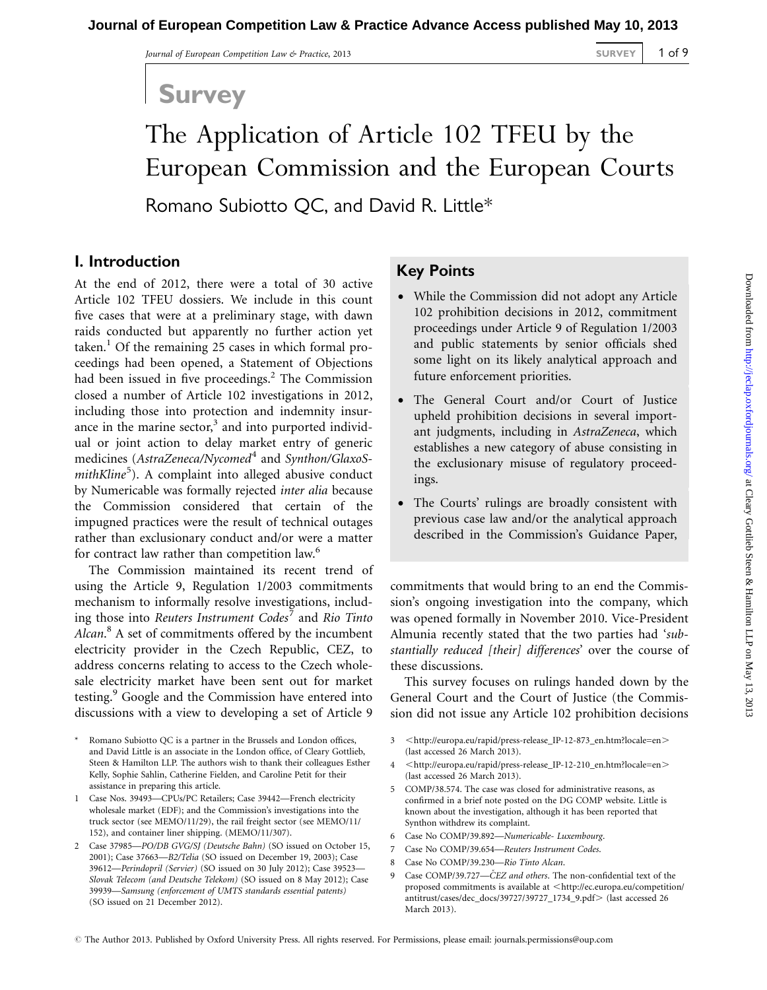## Survey

# The Application of Article 102 TFEU by the European Commission and the European Courts Romano Subiotto QC, and David R. Little\*

#### I. Introduction

At the end of 2012, there were a total of 30 active Article 102 TFEU dossiers. We include in this count five cases that were at a preliminary stage, with dawn raids conducted but apparently no further action yet taken.<sup>1</sup> Of the remaining 25 cases in which formal proceedings had been opened, a Statement of Objections had been issued in five proceedings. $<sup>2</sup>$  The Commission</sup> closed a number of Article 102 investigations in 2012, including those into protection and indemnity insurance in the marine sector, $3$  and into purported individual or joint action to delay market entry of generic medicines (AstraZeneca/Nycomed<sup>4</sup> and Synthon/GlaxoSmithKline<sup>5</sup>). A complaint into alleged abusive conduct by Numericable was formally rejected inter alia because the Commission considered that certain of the impugned practices were the result of technical outages rather than exclusionary conduct and/or were a matter for contract law rather than competition law.<sup>6</sup>

The Commission maintained its recent trend of using the Article 9, Regulation 1/2003 commitments mechanism to informally resolve investigations, including those into Reuters Instrument Codes' and Rio Tinto Alcan.<sup>8</sup> A set of commitments offered by the incumbent electricity provider in the Czech Republic, CEZ, to address concerns relating to access to the Czech wholesale electricity market have been sent out for market testing.<sup>9</sup> Google and the Commission have entered into discussions with a view to developing a set of Article 9

- Romano Subiotto QC is a partner in the Brussels and London offices, and David Little is an associate in the London office, of Cleary Gottlieb, Steen & Hamilton LLP. The authors wish to thank their colleagues Esther Kelly, Sophie Sahlin, Catherine Fielden, and Caroline Petit for their assistance in preparing this article.
- 1 Case Nos. 39493—CPUs/PC Retailers; Case 39442—French electricity wholesale market (EDF); and the Commission's investigations into the truck sector (see MEMO/11/29), the rail freight sector (see MEMO/11/ 152), and container liner shipping. (MEMO/11/307).
- 2 Case 37985—PO/DB GVG/SJ (Deutsche Bahn) (SO issued on October 15, 2001); Case 37663—B2/Telia (SO issued on December 19, 2003); Case 39612—Perindopril (Servier) (SO issued on 30 July 2012); Case 39523— Slovak Telecom (and Deutsche Telekom) (SO issued on 8 May 2012); Case 39939—Samsung (enforcement of UMTS standards essential patents) (SO issued on 21 December 2012).

### Key Points

- While the Commission did not adopt any Article 102 prohibition decisions in 2012, commitment proceedings under Article 9 of Regulation 1/2003 and public statements by senior officials shed some light on its likely analytical approach and future enforcement priorities.
- The General Court and/or Court of Justice upheld prohibition decisions in several important judgments, including in AstraZeneca, which establishes a new category of abuse consisting in the exclusionary misuse of regulatory proceedings.
- The Courts' rulings are broadly consistent with previous case law and/or the analytical approach described in the Commission's Guidance Paper,

commitments that would bring to an end the Commission's ongoing investigation into the company, which was opened formally in November 2010. Vice-President Almunia recently stated that the two parties had 'substantially reduced [their] differences' over the course of these discussions.

This survey focuses on rulings handed down by the General Court and the Court of Justice (the Commission did not issue any Article 102 prohibition decisions

- 3 <[http://europa.eu/rapid/press-release\\_IP-12-873\\_en.htm?locale=en](http://europa.eu/rapid/press-release_IP-12-873_en.htm?locale=en)> (last accessed 26 March 2013).
- 4 <[http://europa.eu/rapid/press-release\\_IP-12-210\\_en.htm?locale=en](http://europa.eu/rapid/press-release_IP-12-210_en.htm?locale=en)> (last accessed 26 March 2013).
- 5 COMP/38.574. The case was closed for administrative reasons, as confirmed in a brief note posted on the DG COMP website. Little is known about the investigation, although it has been reported that Synthon withdrew its complaint.
- 6 Case No COMP/39.892—Numericable- Luxembourg.
- 7 Case No COMP/39.654—Reuters Instrument Codes.
- 8 Case No COMP/39.230—Rio Tinto Alcan.
- 9 Case COMP/39.727—CEZ and others. The non-confidential text of the proposed commitments is available at <[http://ec.europa.eu/competition/](http://ec.europa.eu/competition/antitrust/cases/dec_docs/39727/39727_1734_9.pdf) [antitrust/cases/dec\\_docs/39727/39727\\_1734\\_9.pdf](http://ec.europa.eu/competition/antitrust/cases/dec_docs/39727/39727_1734_9.pdf)> (last accessed 26 March 2013).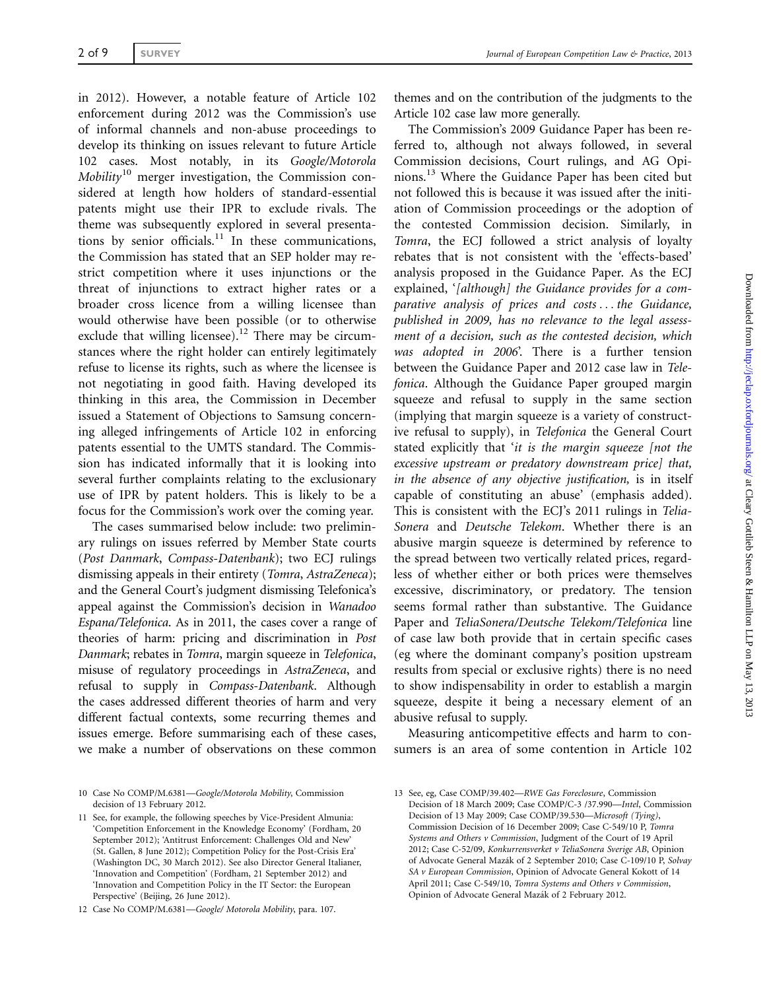in 2012). However, a notable feature of Article 102 enforcement during 2012 was the Commission's use of informal channels and non-abuse proceedings to develop its thinking on issues relevant to future Article 102 cases. Most notably, in its Google/Motorola Mobility<sup>10</sup> merger investigation, the Commission considered at length how holders of standard-essential patents might use their IPR to exclude rivals. The theme was subsequently explored in several presentations by senior officials.<sup>11</sup> In these communications, the Commission has stated that an SEP holder may restrict competition where it uses injunctions or the threat of injunctions to extract higher rates or a broader cross licence from a willing licensee than would otherwise have been possible (or to otherwise exclude that willing licensee).<sup>12</sup> There may be circumstances where the right holder can entirely legitimately refuse to license its rights, such as where the licensee is not negotiating in good faith. Having developed its thinking in this area, the Commission in December issued a Statement of Objections to Samsung concerning alleged infringements of Article 102 in enforcing patents essential to the UMTS standard. The Commission has indicated informally that it is looking into several further complaints relating to the exclusionary use of IPR by patent holders. This is likely to be a focus for the Commission's work over the coming year.

The cases summarised below include: two preliminary rulings on issues referred by Member State courts (Post Danmark, Compass-Datenbank); two ECJ rulings dismissing appeals in their entirety (Tomra, AstraZeneca); and the General Court's judgment dismissing Telefonica's appeal against the Commission's decision in Wanadoo Espana/Telefonica. As in 2011, the cases cover a range of theories of harm: pricing and discrimination in Post Danmark; rebates in Tomra, margin squeeze in Telefonica, misuse of regulatory proceedings in AstraZeneca, and refusal to supply in Compass-Datenbank. Although the cases addressed different theories of harm and very different factual contexts, some recurring themes and issues emerge. Before summarising each of these cases, we make a number of observations on these common

10 Case No COMP/M.6381—Google/Motorola Mobility, Commission decision of 13 February 2012.

11 See, for example, the following speeches by Vice-President Almunia: 'Competition Enforcement in the Knowledge Economy' (Fordham, 20 September 2012); 'Antitrust Enforcement: Challenges Old and New' (St. Gallen, 8 June 2012); Competition Policy for the Post-Crisis Era' (Washington DC, 30 March 2012). See also Director General Italianer, 'Innovation and Competition' (Fordham, 21 September 2012) and 'Innovation and Competition Policy in the IT Sector: the European Perspective' (Beijing, 26 June 2012).

themes and on the contribution of the judgments to the Article 102 case law more generally.

The Commission's 2009 Guidance Paper has been referred to, although not always followed, in several Commission decisions, Court rulings, and AG Opinions.13 Where the Guidance Paper has been cited but not followed this is because it was issued after the initiation of Commission proceedings or the adoption of the contested Commission decision. Similarly, in Tomra, the ECJ followed a strict analysis of loyalty rebates that is not consistent with the 'effects-based' analysis proposed in the Guidance Paper. As the ECJ explained, '[although] the Guidance provides for a comparative analysis of prices and costs ... the Guidance, published in 2009, has no relevance to the legal assessment of a decision, such as the contested decision, which was adopted in 2006'. There is a further tension between the Guidance Paper and 2012 case law in Telefonica. Although the Guidance Paper grouped margin squeeze and refusal to supply in the same section (implying that margin squeeze is a variety of constructive refusal to supply), in Telefonica the General Court stated explicitly that 'it is the margin squeeze [not the excessive upstream or predatory downstream price] that, in the absence of any objective justification, is in itself capable of constituting an abuse' (emphasis added). This is consistent with the ECJ's 2011 rulings in Telia-Sonera and Deutsche Telekom. Whether there is an abusive margin squeeze is determined by reference to the spread between two vertically related prices, regardless of whether either or both prices were themselves excessive, discriminatory, or predatory. The tension seems formal rather than substantive. The Guidance Paper and TeliaSonera/Deutsche Telekom/Telefonica line of case law both provide that in certain specific cases (eg where the dominant company's position upstream results from special or exclusive rights) there is no need to show indispensability in order to establish a margin squeeze, despite it being a necessary element of an abusive refusal to supply.

Measuring anticompetitive effects and harm to consumers is an area of some contention in Article 102

<sup>12</sup> Case No COMP/M.6381—Google/ Motorola Mobility, para. 107.

<sup>13</sup> See, eg, Case COMP/39.402—RWE Gas Foreclosure, Commission Decision of 18 March 2009; Case COMP/C-3 /37.990—Intel, Commission Decision of 13 May 2009; Case COMP/39.530—Microsoft (Tying), Commission Decision of 16 December 2009; Case C-549/10 P, Tomra Systems and Others v Commission, Judgment of the Court of 19 April 2012; Case C-52/09, Konkurrensverket v TeliaSonera Sverige AB, Opinion of Advocate General Mazák of 2 September 2010; Case C-109/10 P, Solvay SA v European Commission, Opinion of Advocate General Kokott of 14 April 2011; Case C-549/10, Tomra Systems and Others v Commission, Opinion of Advocate General Mazák of 2 February 2012.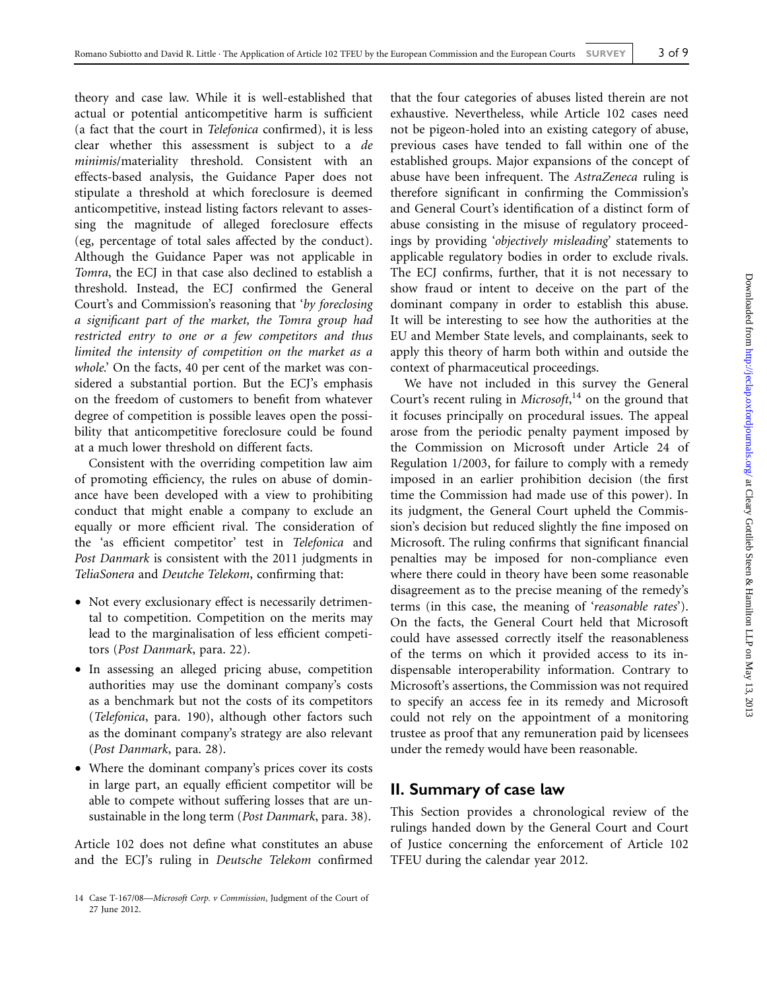theory and case law. While it is well-established that actual or potential anticompetitive harm is sufficient (a fact that the court in Telefonica confirmed), it is less clear whether this assessment is subject to a de minimis/materiality threshold. Consistent with an effects-based analysis, the Guidance Paper does not stipulate a threshold at which foreclosure is deemed anticompetitive, instead listing factors relevant to assessing the magnitude of alleged foreclosure effects (eg, percentage of total sales affected by the conduct). Although the Guidance Paper was not applicable in Tomra, the ECJ in that case also declined to establish a threshold. Instead, the ECJ confirmed the General Court's and Commission's reasoning that 'by foreclosing a significant part of the market, the Tomra group had restricted entry to one or a few competitors and thus limited the intensity of competition on the market as a whole.' On the facts, 40 per cent of the market was considered a substantial portion. But the ECJ's emphasis on the freedom of customers to benefit from whatever degree of competition is possible leaves open the possibility that anticompetitive foreclosure could be found at a much lower threshold on different facts.

Consistent with the overriding competition law aim of promoting efficiency, the rules on abuse of dominance have been developed with a view to prohibiting conduct that might enable a company to exclude an equally or more efficient rival. The consideration of the 'as efficient competitor' test in Telefonica and Post Danmark is consistent with the 2011 judgments in TeliaSonera and Deutche Telekom, confirming that:

- † Not every exclusionary effect is necessarily detrimental to competition. Competition on the merits may lead to the marginalisation of less efficient competitors (Post Danmark, para. 22).
- In assessing an alleged pricing abuse, competition authorities may use the dominant company's costs as a benchmark but not the costs of its competitors (Telefonica, para. 190), although other factors such as the dominant company's strategy are also relevant (Post Danmark, para. 28).
- Where the dominant company's prices cover its costs in large part, an equally efficient competitor will be able to compete without suffering losses that are unsustainable in the long term (Post Danmark, para. 38).

Article 102 does not define what constitutes an abuse and the ECJ's ruling in Deutsche Telekom confirmed that the four categories of abuses listed therein are not exhaustive. Nevertheless, while Article 102 cases need not be pigeon-holed into an existing category of abuse, previous cases have tended to fall within one of the established groups. Major expansions of the concept of abuse have been infrequent. The AstraZeneca ruling is therefore significant in confirming the Commission's and General Court's identification of a distinct form of abuse consisting in the misuse of regulatory proceedings by providing 'objectively misleading' statements to applicable regulatory bodies in order to exclude rivals. The ECJ confirms, further, that it is not necessary to show fraud or intent to deceive on the part of the dominant company in order to establish this abuse. It will be interesting to see how the authorities at the EU and Member State levels, and complainants, seek to apply this theory of harm both within and outside the context of pharmaceutical proceedings.

We have not included in this survey the General Court's recent ruling in Microsoft,<sup>14</sup> on the ground that it focuses principally on procedural issues. The appeal arose from the periodic penalty payment imposed by the Commission on Microsoft under Article 24 of Regulation 1/2003, for failure to comply with a remedy imposed in an earlier prohibition decision (the first time the Commission had made use of this power). In its judgment, the General Court upheld the Commission's decision but reduced slightly the fine imposed on Microsoft. The ruling confirms that significant financial penalties may be imposed for non-compliance even where there could in theory have been some reasonable disagreement as to the precise meaning of the remedy's terms (in this case, the meaning of 'reasonable rates'). On the facts, the General Court held that Microsoft could have assessed correctly itself the reasonableness of the terms on which it provided access to its indispensable interoperability information. Contrary to Microsoft's assertions, the Commission was not required to specify an access fee in its remedy and Microsoft could not rely on the appointment of a monitoring trustee as proof that any remuneration paid by licensees under the remedy would have been reasonable.

#### II. Summary of case law

This Section provides a chronological review of the rulings handed down by the General Court and Court of Justice concerning the enforcement of Article 102 TFEU during the calendar year 2012.

<sup>14</sup> Case T-167/08—Microsoft Corp. v Commission, Judgment of the Court of 27 June 2012.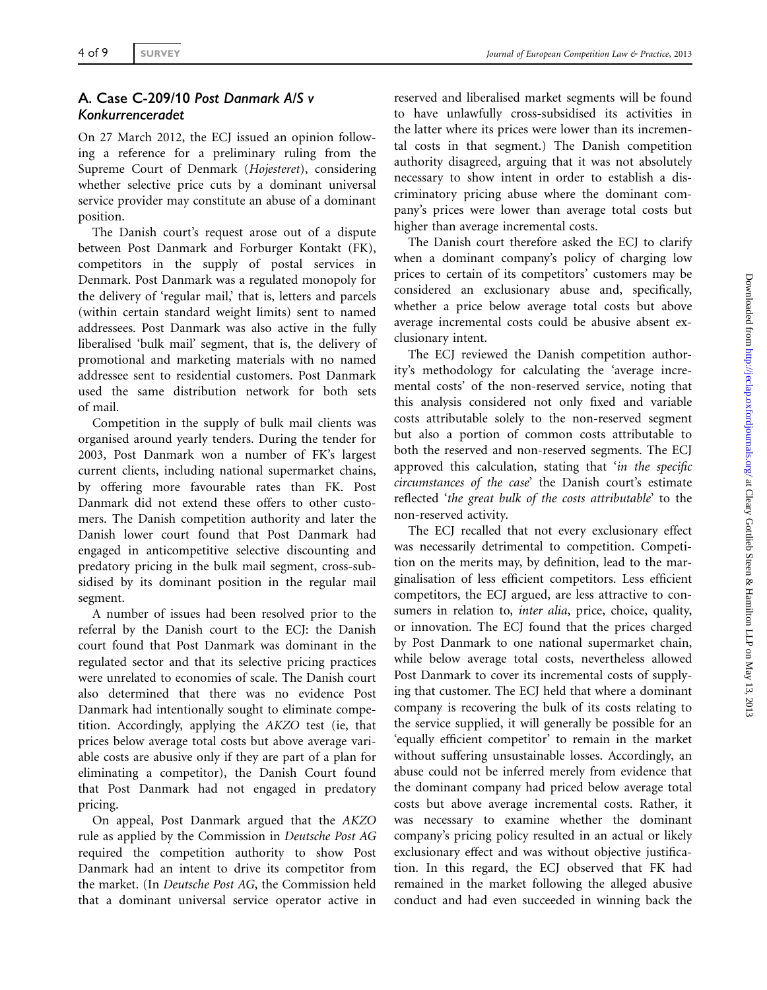#### 4 of 9 SURVEY SURVEY SURVEY SURVEY

#### A. Case C-209/10 Post Danmark A/S v Konkurrenceradet

On 27 March 2012, the ECJ issued an opinion following a reference for a preliminary ruling from the Supreme Court of Denmark (Hojesteret), considering whether selective price cuts by a dominant universal service provider may constitute an abuse of a dominant position.

The Danish court's request arose out of a dispute between Post Danmark and Forburger Kontakt (FK), competitors in the supply of postal services in Denmark. Post Danmark was a regulated monopoly for the delivery of 'regular mail,' that is, letters and parcels (within certain standard weight limits) sent to named addressees. Post Danmark was also active in the fully liberalised 'bulk mail' segment, that is, the delivery of promotional and marketing materials with no named addressee sent to residential customers. Post Danmark used the same distribution network for both sets of mail.

Competition in the supply of bulk mail clients was organised around yearly tenders. During the tender for 2003, Post Danmark won a number of FK's largest current clients, including national supermarket chains, by offering more favourable rates than FK. Post Danmark did not extend these offers to other customers. The Danish competition authority and later the Danish lower court found that Post Danmark had engaged in anticompetitive selective discounting and predatory pricing in the bulk mail segment, cross-subsidised by its dominant position in the regular mail segment.

A number of issues had been resolved prior to the referral by the Danish court to the ECJ: the Danish court found that Post Danmark was dominant in the regulated sector and that its selective pricing practices were unrelated to economies of scale. The Danish court also determined that there was no evidence Post Danmark had intentionally sought to eliminate competition. Accordingly, applying the AKZO test (ie, that prices below average total costs but above average variable costs are abusive only if they are part of a plan for eliminating a competitor), the Danish Court found that Post Danmark had not engaged in predatory pricing.

On appeal, Post Danmark argued that the AKZO rule as applied by the Commission in Deutsche Post AG required the competition authority to show Post Danmark had an intent to drive its competitor from the market. (In Deutsche Post AG, the Commission held that a dominant universal service operator active in

reserved and liberalised market segments will be found to have unlawfully cross-subsidised its activities in the latter where its prices were lower than its incremental costs in that segment.) The Danish competition authority disagreed, arguing that it was not absolutely necessary to show intent in order to establish a discriminatory pricing abuse where the dominant company's prices were lower than average total costs but higher than average incremental costs.

The Danish court therefore asked the ECJ to clarify when a dominant company's policy of charging low prices to certain of its competitors' customers may be considered an exclusionary abuse and, specifically, whether a price below average total costs but above average incremental costs could be abusive absent exclusionary intent.

The ECJ reviewed the Danish competition authority's methodology for calculating the 'average incremental costs' of the non-reserved service, noting that this analysis considered not only fixed and variable costs attributable solely to the non-reserved segment but also a portion of common costs attributable to both the reserved and non-reserved segments. The ECJ approved this calculation, stating that 'in the specific circumstances of the case' the Danish court's estimate reflected 'the great bulk of the costs attributable' to the non-reserved activity.

The ECJ recalled that not every exclusionary effect was necessarily detrimental to competition. Competition on the merits may, by definition, lead to the marginalisation of less efficient competitors. Less efficient competitors, the ECJ argued, are less attractive to consumers in relation to, *inter alia*, price, choice, quality, or innovation. The ECJ found that the prices charged by Post Danmark to one national supermarket chain, while below average total costs, nevertheless allowed Post Danmark to cover its incremental costs of supplying that customer. The ECJ held that where a dominant company is recovering the bulk of its costs relating to the service supplied, it will generally be possible for an 'equally efficient competitor' to remain in the market without suffering unsustainable losses. Accordingly, an abuse could not be inferred merely from evidence that the dominant company had priced below average total costs but above average incremental costs. Rather, it was necessary to examine whether the dominant company's pricing policy resulted in an actual or likely exclusionary effect and was without objective justification. In this regard, the ECJ observed that FK had remained in the market following the alleged abusive conduct and had even succeeded in winning back the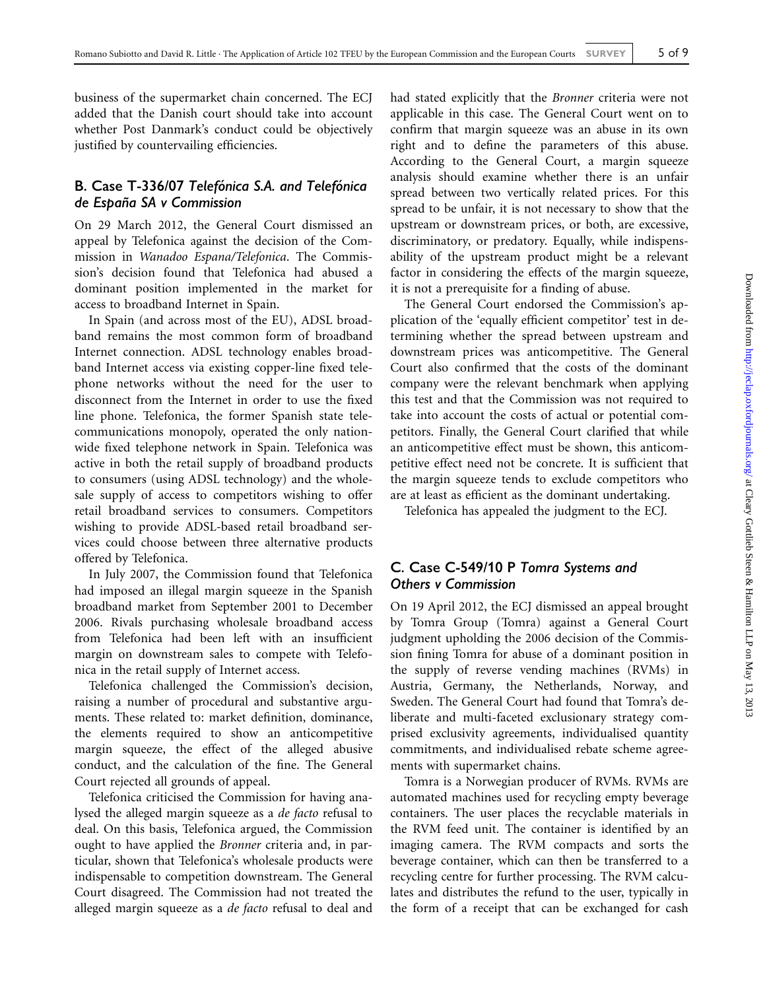business of the supermarket chain concerned. The ECJ added that the Danish court should take into account whether Post Danmark's conduct could be objectively justified by countervailing efficiencies.

#### B. Case T-336/07 Telefónica S.A. and Telefónica de España SA v Commission

On 29 March 2012, the General Court dismissed an appeal by Telefonica against the decision of the Commission in Wanadoo Espana/Telefonica. The Commission's decision found that Telefonica had abused a dominant position implemented in the market for access to broadband Internet in Spain.

In Spain (and across most of the EU), ADSL broadband remains the most common form of broadband Internet connection. ADSL technology enables broadband Internet access via existing copper-line fixed telephone networks without the need for the user to disconnect from the Internet in order to use the fixed line phone. Telefonica, the former Spanish state telecommunications monopoly, operated the only nationwide fixed telephone network in Spain. Telefonica was active in both the retail supply of broadband products to consumers (using ADSL technology) and the wholesale supply of access to competitors wishing to offer retail broadband services to consumers. Competitors wishing to provide ADSL-based retail broadband services could choose between three alternative products offered by Telefonica.

In July 2007, the Commission found that Telefonica had imposed an illegal margin squeeze in the Spanish broadband market from September 2001 to December 2006. Rivals purchasing wholesale broadband access from Telefonica had been left with an insufficient margin on downstream sales to compete with Telefonica in the retail supply of Internet access.

Telefonica challenged the Commission's decision, raising a number of procedural and substantive arguments. These related to: market definition, dominance, the elements required to show an anticompetitive margin squeeze, the effect of the alleged abusive conduct, and the calculation of the fine. The General Court rejected all grounds of appeal.

Telefonica criticised the Commission for having analysed the alleged margin squeeze as a de facto refusal to deal. On this basis, Telefonica argued, the Commission ought to have applied the Bronner criteria and, in particular, shown that Telefonica's wholesale products were indispensable to competition downstream. The General Court disagreed. The Commission had not treated the alleged margin squeeze as a *de facto* refusal to deal and had stated explicitly that the Bronner criteria were not applicable in this case. The General Court went on to confirm that margin squeeze was an abuse in its own right and to define the parameters of this abuse. According to the General Court, a margin squeeze analysis should examine whether there is an unfair spread between two vertically related prices. For this spread to be unfair, it is not necessary to show that the upstream or downstream prices, or both, are excessive, discriminatory, or predatory. Equally, while indispensability of the upstream product might be a relevant factor in considering the effects of the margin squeeze, it is not a prerequisite for a finding of abuse.

The General Court endorsed the Commission's application of the 'equally efficient competitor' test in determining whether the spread between upstream and downstream prices was anticompetitive. The General Court also confirmed that the costs of the dominant company were the relevant benchmark when applying this test and that the Commission was not required to take into account the costs of actual or potential competitors. Finally, the General Court clarified that while an anticompetitive effect must be shown, this anticompetitive effect need not be concrete. It is sufficient that the margin squeeze tends to exclude competitors who are at least as efficient as the dominant undertaking.

Telefonica has appealed the judgment to the ECJ.

#### C. Case C-549/10 P Tomra Systems and Others v Commission

On 19 April 2012, the ECJ dismissed an appeal brought by Tomra Group (Tomra) against a General Court judgment upholding the 2006 decision of the Commission fining Tomra for abuse of a dominant position in the supply of reverse vending machines (RVMs) in Austria, Germany, the Netherlands, Norway, and Sweden. The General Court had found that Tomra's deliberate and multi-faceted exclusionary strategy comprised exclusivity agreements, individualised quantity commitments, and individualised rebate scheme agreements with supermarket chains.

Tomra is a Norwegian producer of RVMs. RVMs are automated machines used for recycling empty beverage containers. The user places the recyclable materials in the RVM feed unit. The container is identified by an imaging camera. The RVM compacts and sorts the beverage container, which can then be transferred to a recycling centre for further processing. The RVM calculates and distributes the refund to the user, typically in the form of a receipt that can be exchanged for cash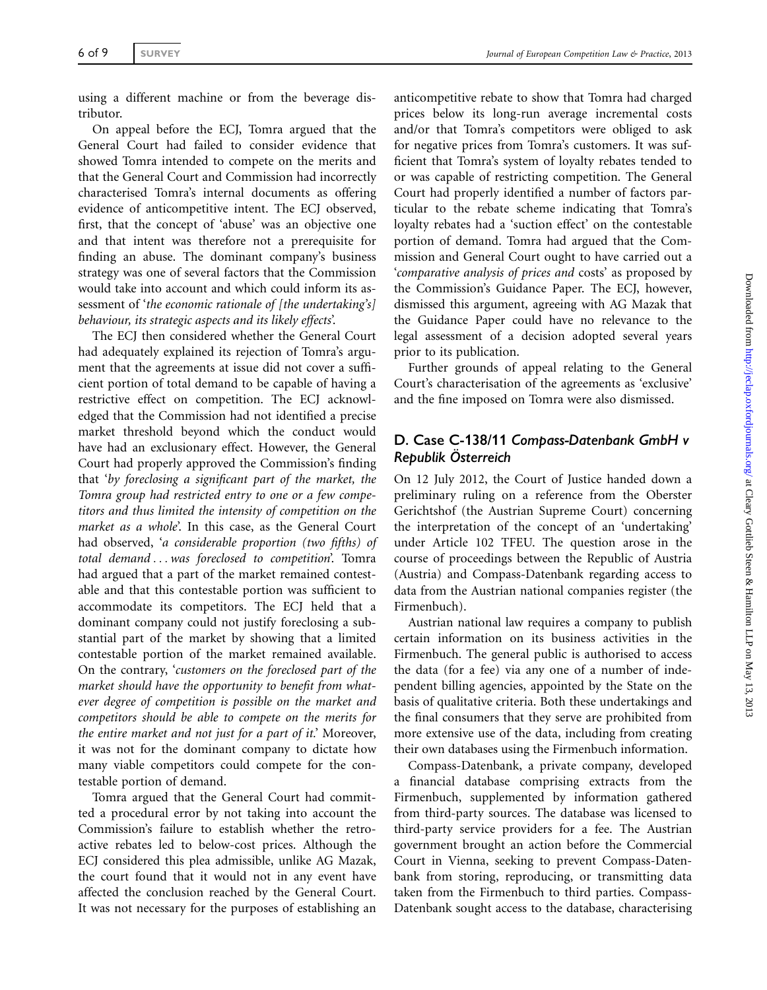using a different machine or from the beverage distributor.

On appeal before the ECJ, Tomra argued that the General Court had failed to consider evidence that showed Tomra intended to compete on the merits and that the General Court and Commission had incorrectly characterised Tomra's internal documents as offering evidence of anticompetitive intent. The ECJ observed, first, that the concept of 'abuse' was an objective one and that intent was therefore not a prerequisite for finding an abuse. The dominant company's business strategy was one of several factors that the Commission would take into account and which could inform its assessment of 'the economic rationale of [the undertaking's] behaviour, its strategic aspects and its likely effects'.

The ECJ then considered whether the General Court had adequately explained its rejection of Tomra's argument that the agreements at issue did not cover a sufficient portion of total demand to be capable of having a restrictive effect on competition. The ECJ acknowledged that the Commission had not identified a precise market threshold beyond which the conduct would have had an exclusionary effect. However, the General Court had properly approved the Commission's finding that 'by foreclosing a significant part of the market, the Tomra group had restricted entry to one or a few competitors and thus limited the intensity of competition on the market as a whole'. In this case, as the General Court had observed, 'a considerable proportion (two fifths) of total demand ... was foreclosed to competition'. Tomra had argued that a part of the market remained contestable and that this contestable portion was sufficient to accommodate its competitors. The ECJ held that a dominant company could not justify foreclosing a substantial part of the market by showing that a limited contestable portion of the market remained available. On the contrary, 'customers on the foreclosed part of the market should have the opportunity to benefit from whatever degree of competition is possible on the market and competitors should be able to compete on the merits for the entire market and not just for a part of it.' Moreover, it was not for the dominant company to dictate how many viable competitors could compete for the contestable portion of demand.

Tomra argued that the General Court had committed a procedural error by not taking into account the Commission's failure to establish whether the retroactive rebates led to below-cost prices. Although the ECJ considered this plea admissible, unlike AG Mazak, the court found that it would not in any event have affected the conclusion reached by the General Court. It was not necessary for the purposes of establishing an

anticompetitive rebate to show that Tomra had charged prices below its long-run average incremental costs and/or that Tomra's competitors were obliged to ask for negative prices from Tomra's customers. It was sufficient that Tomra's system of loyalty rebates tended to or was capable of restricting competition. The General Court had properly identified a number of factors particular to the rebate scheme indicating that Tomra's loyalty rebates had a 'suction effect' on the contestable portion of demand. Tomra had argued that the Commission and General Court ought to have carried out a 'comparative analysis of prices and costs' as proposed by the Commission's Guidance Paper. The ECJ, however, dismissed this argument, agreeing with AG Mazak that the Guidance Paper could have no relevance to the legal assessment of a decision adopted several years prior to its publication.

Further grounds of appeal relating to the General Court's characterisation of the agreements as 'exclusive' and the fine imposed on Tomra were also dismissed.

#### D. Case C-138/11 Compass-Datenbank GmbH v Republik Österreich

On 12 July 2012, the Court of Justice handed down a preliminary ruling on a reference from the Oberster Gerichtshof (the Austrian Supreme Court) concerning the interpretation of the concept of an 'undertaking' under Article 102 TFEU. The question arose in the course of proceedings between the Republic of Austria (Austria) and Compass-Datenbank regarding access to data from the Austrian national companies register (the Firmenbuch).

Austrian national law requires a company to publish certain information on its business activities in the Firmenbuch. The general public is authorised to access the data (for a fee) via any one of a number of independent billing agencies, appointed by the State on the basis of qualitative criteria. Both these undertakings and the final consumers that they serve are prohibited from more extensive use of the data, including from creating their own databases using the Firmenbuch information.

Compass-Datenbank, a private company, developed a financial database comprising extracts from the Firmenbuch, supplemented by information gathered from third-party sources. The database was licensed to third-party service providers for a fee. The Austrian government brought an action before the Commercial Court in Vienna, seeking to prevent Compass-Datenbank from storing, reproducing, or transmitting data taken from the Firmenbuch to third parties. Compass-Datenbank sought access to the database, characterising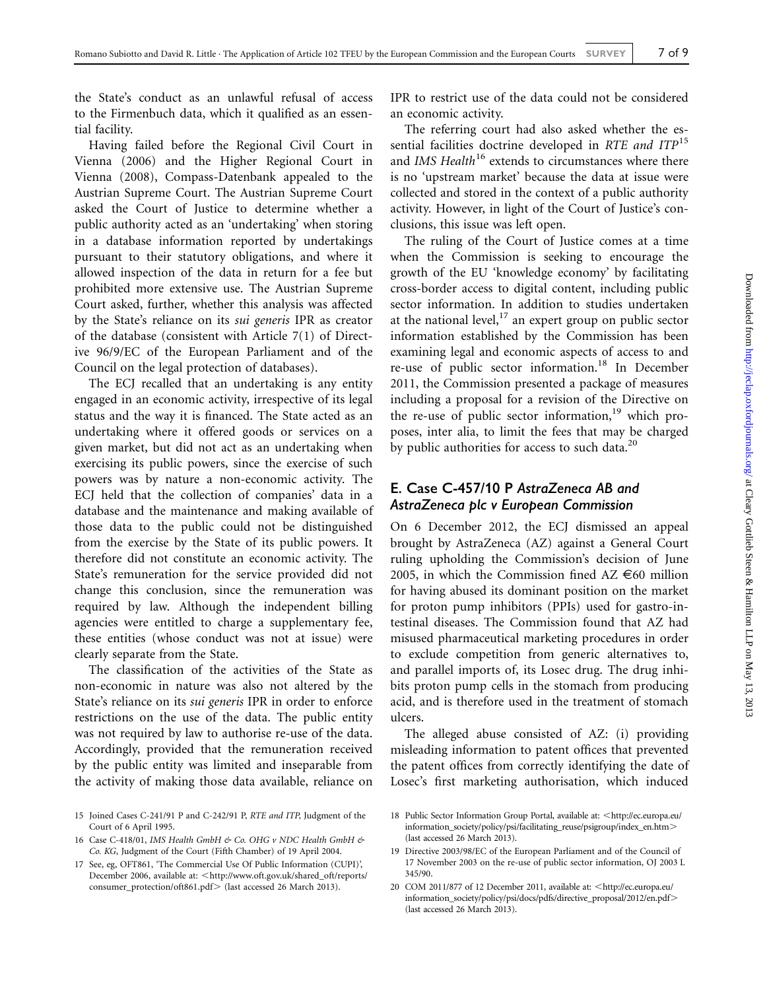the State's conduct as an unlawful refusal of access to the Firmenbuch data, which it qualified as an essential facility.

Having failed before the Regional Civil Court in Vienna (2006) and the Higher Regional Court in Vienna (2008), Compass-Datenbank appealed to the Austrian Supreme Court. The Austrian Supreme Court asked the Court of Justice to determine whether a public authority acted as an 'undertaking' when storing in a database information reported by undertakings pursuant to their statutory obligations, and where it allowed inspection of the data in return for a fee but prohibited more extensive use. The Austrian Supreme Court asked, further, whether this analysis was affected by the State's reliance on its sui generis IPR as creator of the database (consistent with Article 7(1) of Directive 96/9/EC of the European Parliament and of the Council on the legal protection of databases).

The ECJ recalled that an undertaking is any entity engaged in an economic activity, irrespective of its legal status and the way it is financed. The State acted as an undertaking where it offered goods or services on a given market, but did not act as an undertaking when exercising its public powers, since the exercise of such powers was by nature a non-economic activity. The ECJ held that the collection of companies' data in a database and the maintenance and making available of those data to the public could not be distinguished from the exercise by the State of its public powers. It therefore did not constitute an economic activity. The State's remuneration for the service provided did not change this conclusion, since the remuneration was required by law. Although the independent billing agencies were entitled to charge a supplementary fee, these entities (whose conduct was not at issue) were clearly separate from the State.

The classification of the activities of the State as non-economic in nature was also not altered by the State's reliance on its sui generis IPR in order to enforce restrictions on the use of the data. The public entity was not required by law to authorise re-use of the data. Accordingly, provided that the remuneration received by the public entity was limited and inseparable from the activity of making those data available, reliance on IPR to restrict use of the data could not be considered an economic activity.

The referring court had also asked whether the essential facilities doctrine developed in RTE and ITP<sup>15</sup> and IMS Health<sup>16</sup> extends to circumstances where there is no 'upstream market' because the data at issue were collected and stored in the context of a public authority activity. However, in light of the Court of Justice's conclusions, this issue was left open.

The ruling of the Court of Justice comes at a time when the Commission is seeking to encourage the growth of the EU 'knowledge economy' by facilitating cross-border access to digital content, including public sector information. In addition to studies undertaken at the national level, $^{17}$  an expert group on public sector information established by the Commission has been examining legal and economic aspects of access to and re-use of public sector information.<sup>18</sup> In December 2011, the Commission presented a package of measures including a proposal for a revision of the Directive on the re-use of public sector information,<sup>19</sup> which proposes, inter alia, to limit the fees that may be charged by public authorities for access to such data. $^{20}$ 

#### E. Case C-457/10 P AstraZeneca AB and AstraZeneca plc v European Commission

On 6 December 2012, the ECJ dismissed an appeal brought by AstraZeneca (AZ) against a General Court ruling upholding the Commission's decision of June 2005, in which the Commission fined  $AZ \in 60$  million for having abused its dominant position on the market for proton pump inhibitors (PPIs) used for gastro-intestinal diseases. The Commission found that AZ had misused pharmaceutical marketing procedures in order to exclude competition from generic alternatives to, and parallel imports of, its Losec drug. The drug inhibits proton pump cells in the stomach from producing acid, and is therefore used in the treatment of stomach ulcers.

The alleged abuse consisted of AZ: (i) providing misleading information to patent offices that prevented the patent offices from correctly identifying the date of Losec's first marketing authorisation, which induced

19 Directive 2003/98/EC of the European Parliament and of the Council of 17 November 2003 on the re-use of public sector information, OJ 2003 L 345/90.

<sup>15</sup> Joined Cases C-241/91 P and C-242/91 P, RTE and ITP, Judgment of the Court of 6 April 1995.

<sup>16</sup> Case C-418/01, IMS Health GmbH & Co. OHG v NDC Health GmbH & Co. KG, Judgment of the Court (Fifth Chamber) of 19 April 2004.

<sup>17</sup> See, eg, OFT861, 'The Commercial Use Of Public Information (CUPI)', December 2006, available at: <[http://www.oft.gov.uk/shared\\_oft/reports/](http://www.oft.gov.uk/shared_oft/reports/consumer_protection/oft861.pdf) [consumer\\_protection/oft861.pdf](http://www.oft.gov.uk/shared_oft/reports/consumer_protection/oft861.pdf)> (last accessed 26 March 2013).

<sup>18</sup> Public Sector Information Group Portal, available at: <[http://ec.europa.eu/](http://ec.europa.eu/information_society/policy/psi/facilitating_reuse/psigroup/index_en.htm) [information\\_society/policy/psi/facilitating\\_reuse/psigroup/index\\_en.htm](http://ec.europa.eu/information_society/policy/psi/facilitating_reuse/psigroup/index_en.htm). (last accessed 26 March 2013).

<sup>20</sup> COM 2011/877 of 12 December 2011, available at: <[http://ec.europa.eu/](http://ec.europa.eu/information_society/policy/psi/docs/pdfs/directive_proposal/2012/en.pdf) [information\\_society/policy/psi/docs/pdfs/directive\\_proposal/2012/en.pdf](http://ec.europa.eu/information_society/policy/psi/docs/pdfs/directive_proposal/2012/en.pdf). (last accessed 26 March 2013).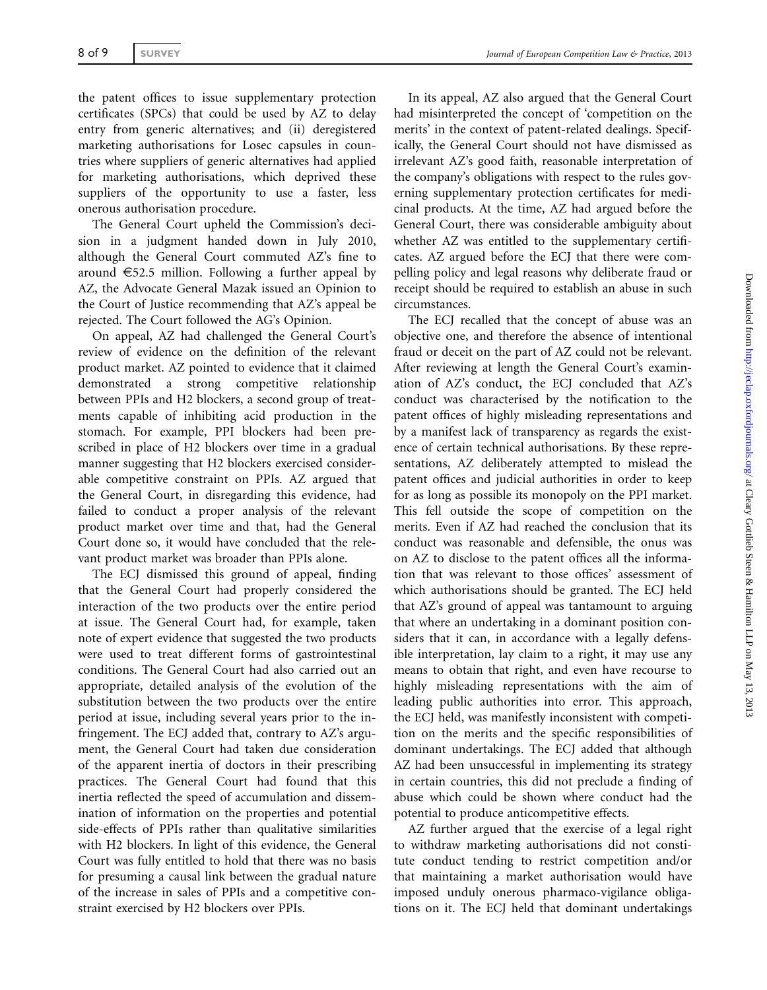the patent offices to issue supplementary protection certificates (SPCs) that could be used by AZ to delay entry from generic alternatives; and (ii) deregistered marketing authorisations for Losec capsules in countries where suppliers of generic alternatives had applied for marketing authorisations, which deprived these suppliers of the opportunity to use a faster, less onerous authorisation procedure.

The General Court upheld the Commission's decision in a judgment handed down in July 2010, although the General Court commuted AZ's fine to around  $\epsilon$ 52.5 million. Following a further appeal by AZ, the Advocate General Mazak issued an Opinion to the Court of Justice recommending that AZ's appeal be rejected. The Court followed the AG's Opinion.

On appeal, AZ had challenged the General Court's review of evidence on the definition of the relevant product market. AZ pointed to evidence that it claimed demonstrated a strong competitive relationship between PPIs and H2 blockers, a second group of treatments capable of inhibiting acid production in the stomach. For example, PPI blockers had been prescribed in place of H2 blockers over time in a gradual manner suggesting that H2 blockers exercised considerable competitive constraint on PPIs. AZ argued that the General Court, in disregarding this evidence, had failed to conduct a proper analysis of the relevant product market over time and that, had the General Court done so, it would have concluded that the relevant product market was broader than PPIs alone.

The ECJ dismissed this ground of appeal, finding that the General Court had properly considered the interaction of the two products over the entire period at issue. The General Court had, for example, taken note of expert evidence that suggested the two products were used to treat different forms of gastrointestinal conditions. The General Court had also carried out an appropriate, detailed analysis of the evolution of the substitution between the two products over the entire period at issue, including several years prior to the infringement. The ECJ added that, contrary to AZ's argument, the General Court had taken due consideration of the apparent inertia of doctors in their prescribing practices. The General Court had found that this inertia reflected the speed of accumulation and dissemination of information on the properties and potential side-effects of PPIs rather than qualitative similarities with H2 blockers. In light of this evidence, the General Court was fully entitled to hold that there was no basis for presuming a causal link between the gradual nature of the increase in sales of PPIs and a competitive constraint exercised by H2 blockers over PPIs.

In its appeal, AZ also argued that the General Court had misinterpreted the concept of 'competition on the merits' in the context of patent-related dealings. Specifically, the General Court should not have dismissed as irrelevant AZ's good faith, reasonable interpretation of the company's obligations with respect to the rules governing supplementary protection certificates for medicinal products. At the time, AZ had argued before the General Court, there was considerable ambiguity about whether AZ was entitled to the supplementary certificates. AZ argued before the ECJ that there were compelling policy and legal reasons why deliberate fraud or receipt should be required to establish an abuse in such circumstances.

The ECJ recalled that the concept of abuse was an objective one, and therefore the absence of intentional fraud or deceit on the part of AZ could not be relevant. After reviewing at length the General Court's examination of AZ's conduct, the ECJ concluded that AZ's conduct was characterised by the notification to the patent offices of highly misleading representations and by a manifest lack of transparency as regards the existence of certain technical authorisations. By these representations, AZ deliberately attempted to mislead the patent offices and judicial authorities in order to keep for as long as possible its monopoly on the PPI market. This fell outside the scope of competition on the merits. Even if AZ had reached the conclusion that its conduct was reasonable and defensible, the onus was on AZ to disclose to the patent offices all the information that was relevant to those offices' assessment of which authorisations should be granted. The ECJ held that AZ's ground of appeal was tantamount to arguing that where an undertaking in a dominant position considers that it can, in accordance with a legally defensible interpretation, lay claim to a right, it may use any means to obtain that right, and even have recourse to highly misleading representations with the aim of leading public authorities into error. This approach, the ECJ held, was manifestly inconsistent with competition on the merits and the specific responsibilities of dominant undertakings. The ECJ added that although AZ had been unsuccessful in implementing its strategy in certain countries, this did not preclude a finding of abuse which could be shown where conduct had the potential to produce anticompetitive effects.

AZ further argued that the exercise of a legal right to withdraw marketing authorisations did not constitute conduct tending to restrict competition and/or that maintaining a market authorisation would have imposed unduly onerous pharmaco-vigilance obligations on it. The ECJ held that dominant undertakings